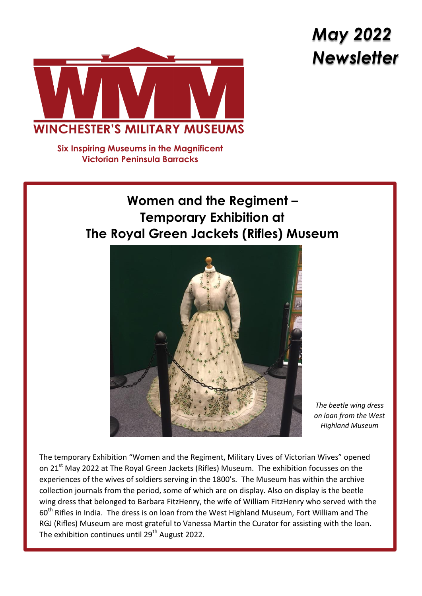# *May 2022 Newsletter*



**Six Inspiring Museums in the Magnificent Victorian Peninsula Barracks**

# **Women and the Regiment – Temporary Exhibition at The Royal Green Jackets (Rifles) Museum**



*The beetle wing dress on loan from the West Highland Museum*

The temporary Exhibition "Women and the Regiment, Military Lives of Victorian Wives" opened on 21<sup>st</sup> May 2022 at The Royal Green Jackets (Rifles) Museum. The exhibition focusses on the experiences of the wives of soldiers serving in the 1800's. The Museum has within the archive collection journals from the period, some of which are on display. Also on display is the beetle wing dress that belonged to Barbara FitzHenry, the wife of William FitzHenry who served with the 60<sup>th</sup> Rifles in India. The dress is on loan from the West Highland Museum, Fort William and The RGJ (Rifles) Museum are most grateful to Vanessa Martin the Curator for assisting with the loan. The exhibition continues until 29<sup>th</sup> August 2022.